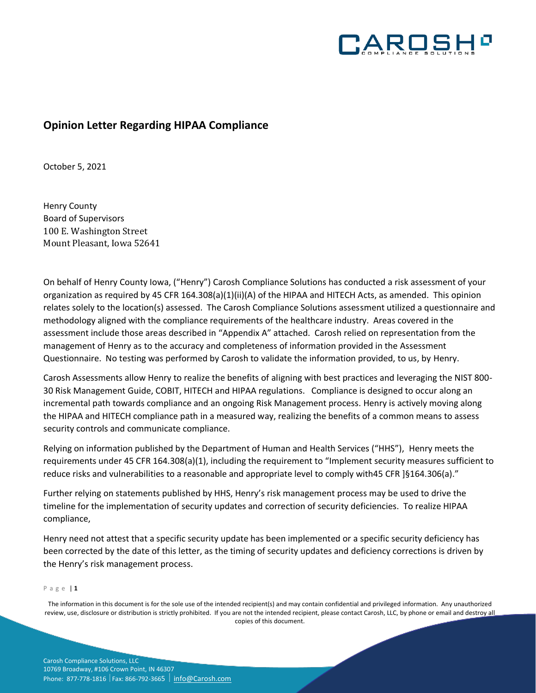

# **Opinion Letter Regarding HIPAA Compliance**

October 5, 2021

Henry County Board of Supervisors 100 E. Washington Street Mount Pleasant, Iowa 52641

On behalf of Henry County Iowa, ("Henry") Carosh Compliance Solutions has conducted a risk assessment of your organization as required by 45 CFR 164.308(a)(1)(ii)(A) of the HIPAA and HITECH Acts, as amended. This opinion relates solely to the location(s) assessed. The Carosh Compliance Solutions assessment utilized a questionnaire and methodology aligned with the compliance requirements of the healthcare industry. Areas covered in the assessment include those areas described in "Appendix A" attached. Carosh relied on representation from the management of Henry as to the accuracy and completeness of information provided in the Assessment Questionnaire. No testing was performed by Carosh to validate the information provided, to us, by Henry.

Carosh Assessments allow Henry to realize the benefits of aligning with best practices and leveraging the NIST 800- 30 Risk Management Guide, COBIT, HITECH and HIPAA regulations. Compliance is designed to occur along an incremental path towards compliance and an ongoing Risk Management process. Henry is actively moving along the HIPAA and HITECH compliance path in a measured way, realizing the benefits of a common means to assess security controls and communicate compliance.

Relying on information published by the Department of Human and Health Services ("HHS"), Henry meets the requirements under 45 CFR 164.308(a)(1), including the requirement to "Implement security measures sufficient to reduce risks and vulnerabilities to a reasonable and appropriate level to comply with45 CFR ]§164.306(a)."

Further relying on statements published by HHS, Henry's risk management process may be used to drive the timeline for the implementation of security updates and correction of security deficiencies. To realize HIPAA compliance,

Henry need not attest that a specific security update has been implemented or a specific security deficiency has been corrected by the date of this letter, as the timing of security updates and deficiency corrections is driven by the Henry's risk management process.

### P a g e | **1**

The information in this document is for the sole use of the intended recipient(s) and may contain confidential and privileged information. Any unauthorized review, use, disclosure or distribution is strictly prohibited. If you are not the intended recipient, please contact Carosh, LLC, by phone or email and destroy all copies of this document.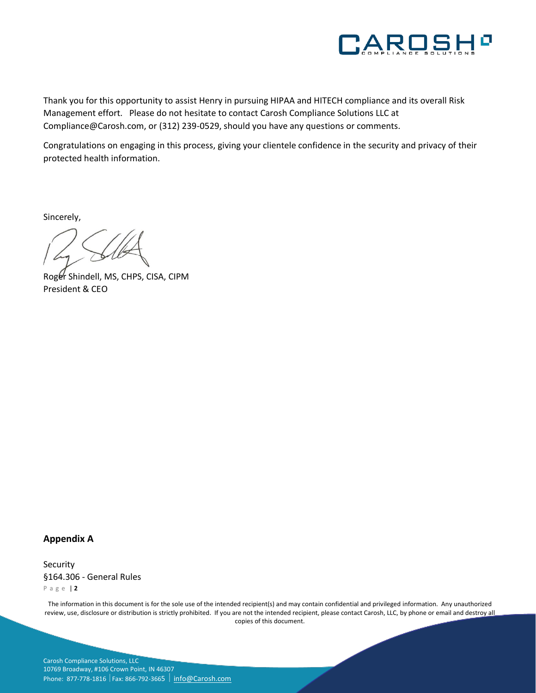

Thank you for this opportunity to assist Henry in pursuing HIPAA and HITECH compliance and its overall Risk Management effort. Please do not hesitate to contact Carosh Compliance Solutions LLC at Compliance@Carosh.com, or (312) 239-0529, should you have any questions or comments.

Congratulations on engaging in this process, giving your clientele confidence in the security and privacy of their protected health information.

Sincerely,

Roger Shindell, MS, CHPS, CISA, CIPM President & CEO

## **Appendix A**

P a g e | **2** Security §164.306 - General Rules

The information in this document is for the sole use of the intended recipient(s) and may contain confidential and privileged information. Any unauthorized review, use, disclosure or distribution is strictly prohibited. If you are not the intended recipient, please contact Carosh, LLC, by phone or email and destroy all copies of this document.

Carosh Compliance Solutions, LLC 10769 Broadway, #106 Crown Point, IN 46307 Phone: 877-778-1816 | Fax: 866-792-3665 | [info@Carosh.com](mailto:info@Carosh.com)